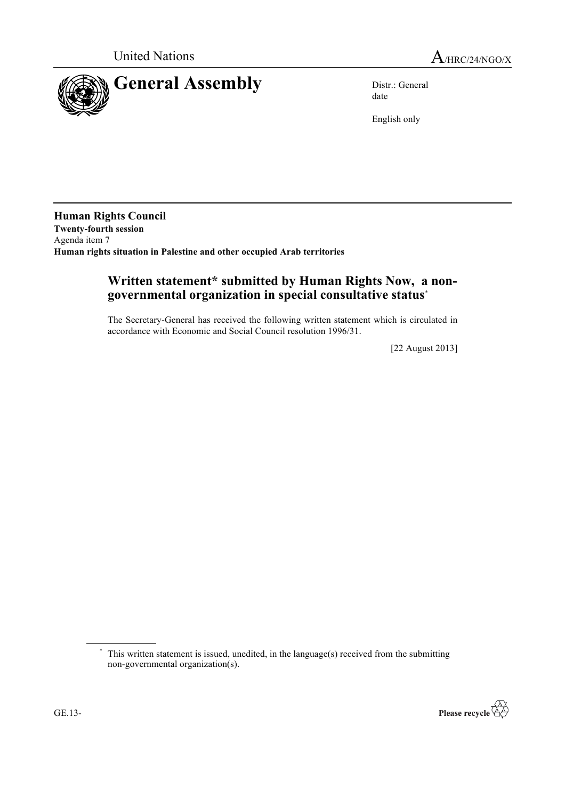

date

English only

**Human Rights Council Twenty-fourth session** Agenda item 7 **Human rights situation in Palestine and other occupied Arab territories**

## **Written statement\* submitted by Human Rights Now, a nongovernmental organization in special consultative status**\*

The Secretary-General has received the following written statement which is circulated in accordance with Economic and Social Council resolution 1996/31.

[22 August 2013]

<sup>\*</sup> This written statement is issued, unedited, in the language(s) received from the submitting non-governmental organization(s).

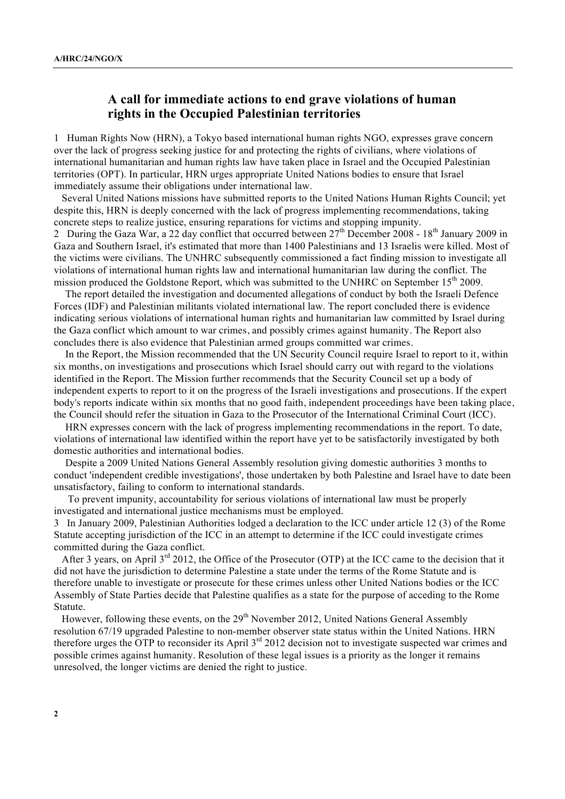## **A call for immediate actions to end grave violations of human rights in the Occupied Palestinian territories**

1 Human Rights Now (HRN), a Tokyo based international human rights NGO, expresses grave concern over the lack of progress seeking justice for and protecting the rights of civilians, where violations of international humanitarian and human rights law have taken place in Israel and the Occupied Palestinian territories (OPT). In particular, HRN urges appropriate United Nations bodies to ensure that Israel immediately assume their obligations under international law.

 Several United Nations missions have submitted reports to the United Nations Human Rights Council; yet despite this, HRN is deeply concerned with the lack of progress implementing recommendations, taking concrete steps to realize justice, ensuring reparations for victims and stopping impunity.

2 During the Gaza War, a 22 day conflict that occurred between  $27<sup>th</sup>$  December 2008 - 18<sup>th</sup> January 2009 in Gaza and Southern Israel, it's estimated that more than 1400 Palestinians and 13 Israelis were killed. Most of the victims were civilians. The UNHRC subsequently commissioned a fact finding mission to investigate all violations of international human rights law and international humanitarian law during the conflict. The mission produced the Goldstone Report, which was submitted to the UNHRC on September  $15<sup>th</sup> 2009$ .

The report detailed the investigation and documented allegations of conduct by both the Israeli Defence Forces (IDF) and Palestinian militants violated international law. The report concluded there is evidence indicating serious violations of international human rights and humanitarian law committed by Israel during the Gaza conflict which amount to war crimes, and possibly crimes against humanity. The Report also concludes there is also evidence that Palestinian armed groups committed war crimes.

In the Report, the Mission recommended that the UN Security Council require Israel to report to it, within six months, on investigations and prosecutions which Israel should carry out with regard to the violations identified in the Report. The Mission further recommends that the Security Council set up a body of independent experts to report to it on the progress of the Israeli investigations and prosecutions. If the expert body's reports indicate within six months that no good faith, independent proceedings have been taking place, the Council should refer the situation in Gaza to the Prosecutor of the International Criminal Court (ICC).

HRN expresses concern with the lack of progress implementing recommendations in the report. To date, violations of international law identified within the report have yet to be satisfactorily investigated by both domestic authorities and international bodies.

Despite a 2009 United Nations General Assembly resolution giving domestic authorities 3 months to conduct 'independent credible investigations', those undertaken by both Palestine and Israel have to date been unsatisfactory, failing to conform to international standards.

 To prevent impunity, accountability for serious violations of international law must be properly investigated and international justice mechanisms must be employed.

3 In January 2009, Palestinian Authorities lodged a declaration to the ICC under article 12 (3) of the Rome Statute accepting jurisdiction of the ICC in an attempt to determine if the ICC could investigate crimes committed during the Gaza conflict.

After 3 years, on April  $3^{rd}$  2012, the Office of the Prosecutor (OTP) at the ICC came to the decision that it did not have the jurisdiction to determine Palestine a state under the terms of the Rome Statute and is therefore unable to investigate or prosecute for these crimes unless other United Nations bodies or the ICC Assembly of State Parties decide that Palestine qualifies as a state for the purpose of acceding to the Rome Statute.

However, following these events, on the  $29<sup>th</sup>$  November 2012, United Nations General Assembly resolution 67/19 upgraded Palestine to non-member observer state status within the United Nations. HRN therefore urges the OTP to reconsider its April 3<sup>rd</sup> 2012 decision not to investigate suspected war crimes and possible crimes against humanity. Resolution of these legal issues is a priority as the longer it remains unresolved, the longer victims are denied the right to justice.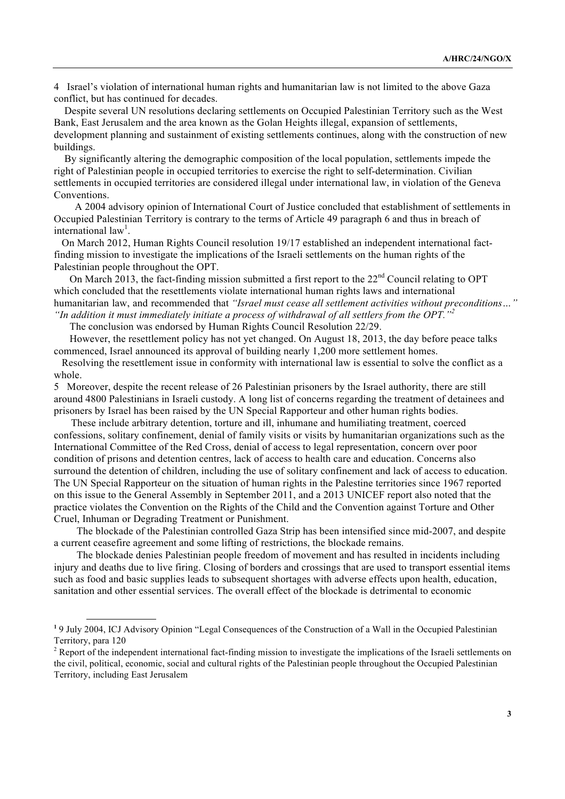4 Israel's violation of international human rights and humanitarian law is not limited to the above Gaza conflict, but has continued for decades.

 Despite several UN resolutions declaring settlements on Occupied Palestinian Territory such as the West Bank, East Jerusalem and the area known as the Golan Heights illegal, expansion of settlements, development planning and sustainment of existing settlements continues, along with the construction of new buildings.

 By significantly altering the demographic composition of the local population, settlements impede the right of Palestinian people in occupied territories to exercise the right to self-determination. Civilian settlements in occupied territories are considered illegal under international law, in violation of the Geneva **Conventions** 

A 2004 advisory opinion of International Court of Justice concluded that establishment of settlements in Occupied Palestinian Territory is contrary to the terms of Article 49 paragraph 6 and thus in breach of international law<sup>1</sup>.

 On March 2012, Human Rights Council resolution 19/17 established an independent international factfinding mission to investigate the implications of the Israeli settlements on the human rights of the Palestinian people throughout the OPT.

On March 2013, the fact-finding mission submitted a first report to the  $22<sup>nd</sup>$  Council relating to OPT which concluded that the resettlements violate international human rights laws and international humanitarian law, and recommended that *"Israel must cease all settlement activities without preconditions…" "In addition it must immediately initiate a process of withdrawal of all settlers from the OPT."<sup>2</sup>*

The conclusion was endorsed by Human Rights Council Resolution 22/29.

However, the resettlement policy has not yet changed. On August 18, 2013, the day before peace talks commenced, Israel announced its approval of building nearly 1,200 more settlement homes.

 Resolving the resettlement issue in conformity with international law is essential to solve the conflict as a whole.

5 Moreover, despite the recent release of 26 Palestinian prisoners by the Israel authority, there are still around 4800 Palestinians in Israeli custody. A long list of concerns regarding the treatment of detainees and prisoners by Israel has been raised by the UN Special Rapporteur and other human rights bodies.

These include arbitrary detention, torture and ill, inhumane and humiliating treatment, coerced confessions, solitary confinement, denial of family visits or visits by humanitarian organizations such as the International Committee of the Red Cross, denial of access to legal representation, concern over poor condition of prisons and detention centres, lack of access to health care and education. Concerns also surround the detention of children, including the use of solitary confinement and lack of access to education. The UN Special Rapporteur on the situation of human rights in the Palestine territories since 1967 reported on this issue to the General Assembly in September 2011, and a 2013 UNICEF report also noted that the practice violates the Convention on the Rights of the Child and the Convention against Torture and Other Cruel, Inhuman or Degrading Treatment or Punishment.

The blockade of the Palestinian controlled Gaza Strip has been intensified since mid-2007, and despite a current ceasefire agreement and some lifting of restrictions, the blockade remains.

The blockade denies Palestinian people freedom of movement and has resulted in incidents including injury and deaths due to live firing. Closing of borders and crossings that are used to transport essential items such as food and basic supplies leads to subsequent shortages with adverse effects upon health, education, sanitation and other essential services. The overall effect of the blockade is detrimental to economic

**<sup>1</sup>** 9 July 2004, ICJ Advisory Opinion "Legal Consequences of the Construction of a Wall in the Occupied Palestinian Territory, para 120

<sup>&</sup>lt;sup>2</sup> Report of the independent international fact-finding mission to investigate the implications of the Israeli settlements on the civil, political, economic, social and cultural rights of the Palestinian people throughout the Occupied Palestinian Territory, including East Jerusalem